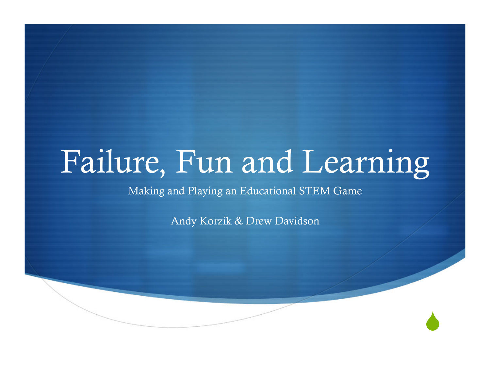# Failure, Fun and Learning

Making and Playing an Educational STEM Game

Andy Korzik & Drew Davidson

 $\blacklozenge$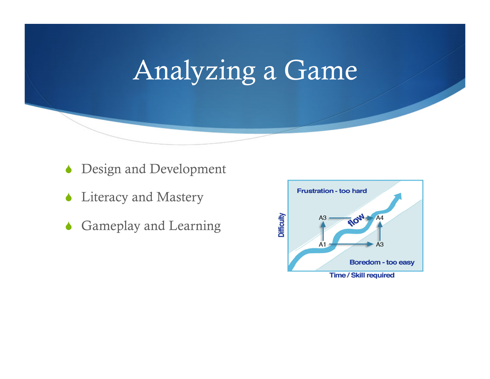## Analyzing a Game

- **Design and Development**
- Literacy and Mastery
- Gameplay and Learning

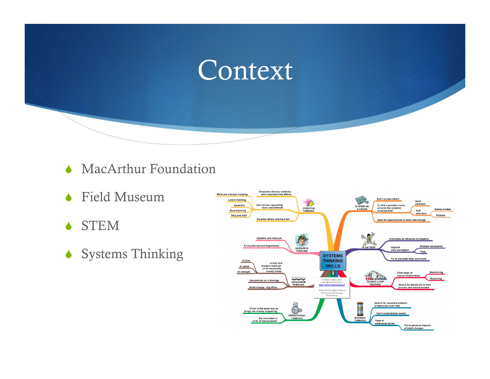

- MacArthur Foundation
- Field Museum
- STEM
- Systems Thinking

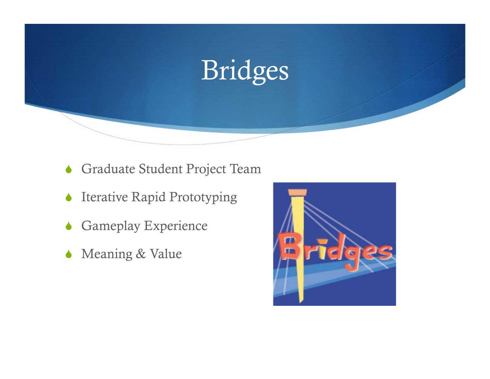

- Graduate Student Project Team
- Iterative Rapid Prototyping
- **Gameplay Experience**
- Meaning & Value

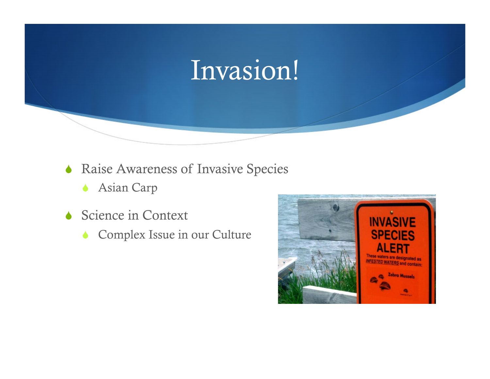## Invasion!

- **ARAISE AWARENESS OF Invasive Species** 
	- Asian Carp
- Science in Context
	- Complex Issue in our Culture

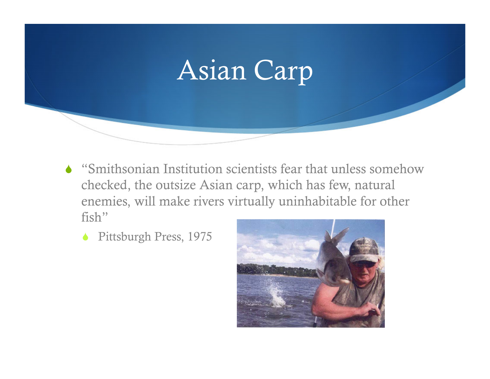Asian Carp

- "Smithsonian Institution scientists fear that unless somehow checked, the outsize Asian carp, which has few, natural enemies, will make rivers virtually uninhabitable for other fish"
	- ◆ Pittsburgh Press, 1975

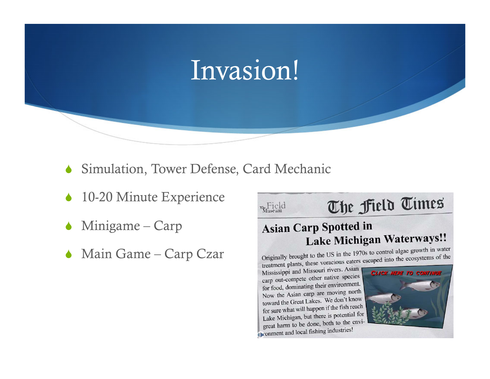### Invasion!

The Field

- Simulation, Tower Defense, Card Mechanic
- 10-20 Minute Experience
- Minigame Carp
- Main Game Carp Czar

The Field Times

#### **Asian Carp Spotted in** Lake Michigan Waterways!!

Originally brought to the US in the 1970s to control algae growth in water Originally brought to the US in the 1970s to control argue growth.<br>treatment plants, these voracious eaters escaped into the ecosystems of the

Mississippi and Missouri rivers. Asian<br>Mississippi and Missouri rivers. Asian carp out-compete other native species for food, dominating their environment. Now the Asian carp are moving north toward the Great Lakes. We don't know for sure what will happen if the fish reach Lake Michigan, but there is potential for great harm to be done, both to the environof connent and local fishing industries!

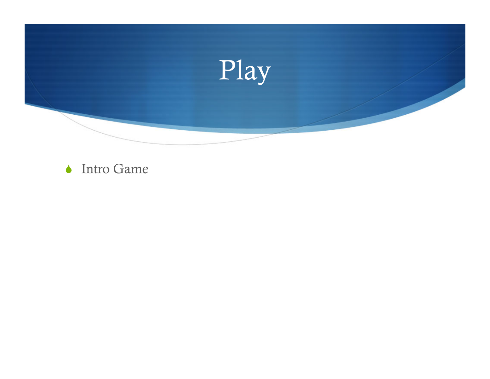

#### ◆ Intro Game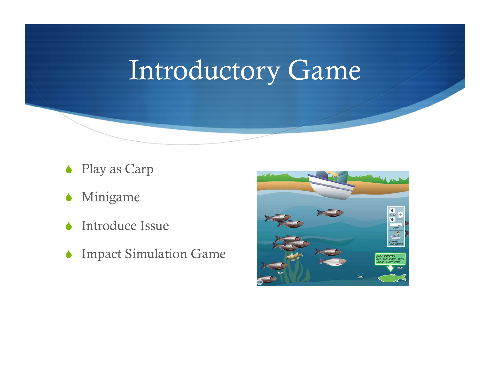## Introductory Game

- ◆ Play as Carp
- **Minigame**
- Introduce Issue
- Impact Simulation Game

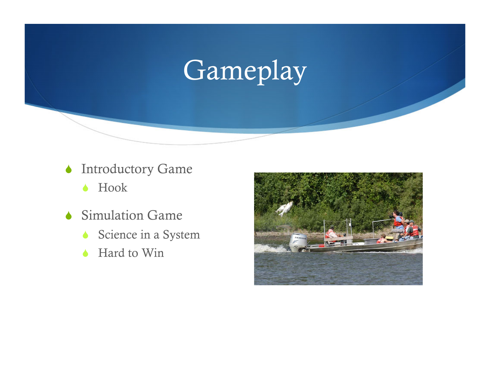## Gameplay

- **Introductory Game** 
	- ◆ Hook
- Simulation Game
	- Science in a System
	- ◆ Hard to Win

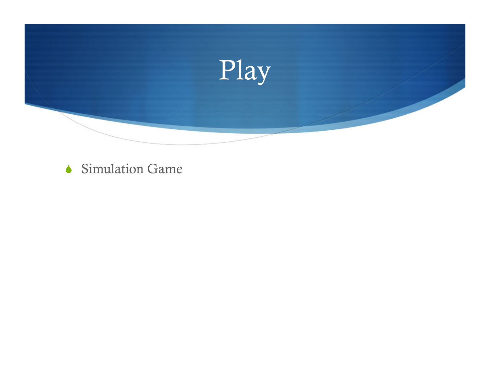

Simulation Game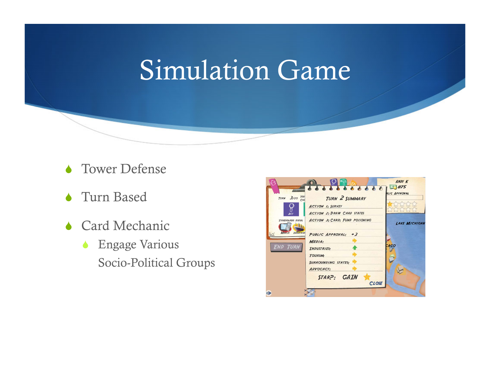## Simulation Game

- **CE Tower Defense**
- Turn Based
- ◆ Card Mechanic
	- Engage Various Socio-Political Groups

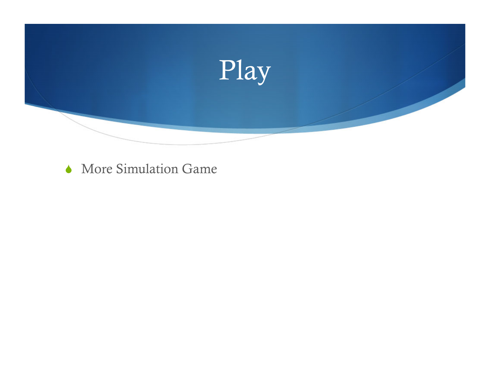

More Simulation Game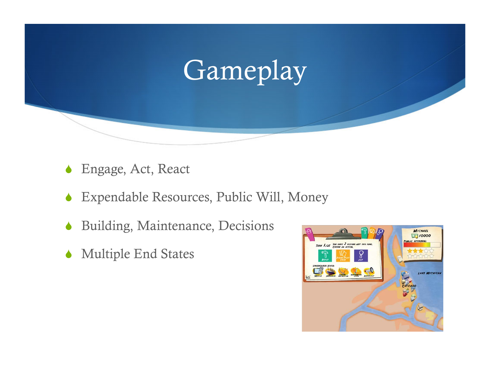## Gameplay

- Engage, Act, React
- Expendable Resources, Public Will, Money
- Building, Maintenance, Decisions
- Multiple End States

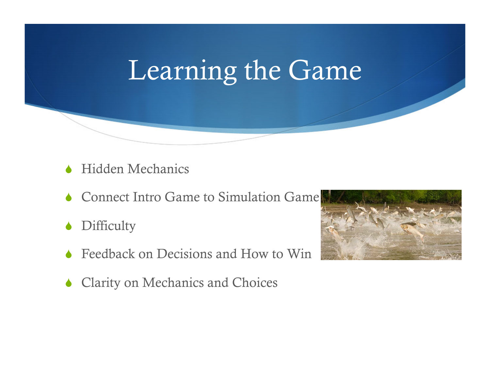## Learning the Game

- Hidden Mechanics
- Connect Intro Game to Simulation Game
- **◆ Difficulty**
- Feedback on Decisions and How to Win
- Clarity on Mechanics and Choices

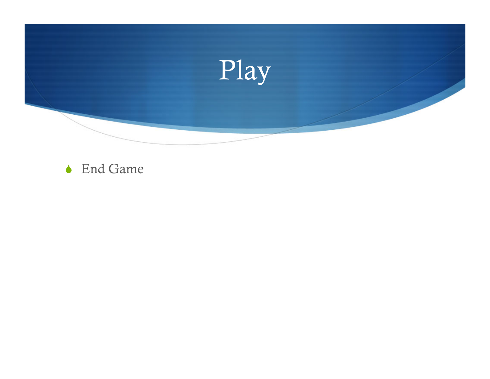

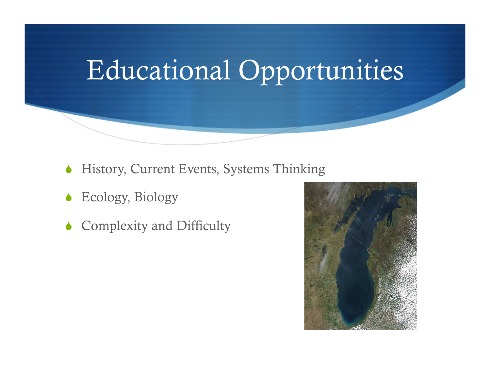## Educational Opportunities

- History, Current Events, Systems Thinking
- Ecology, Biology
- Complexity and Difficulty

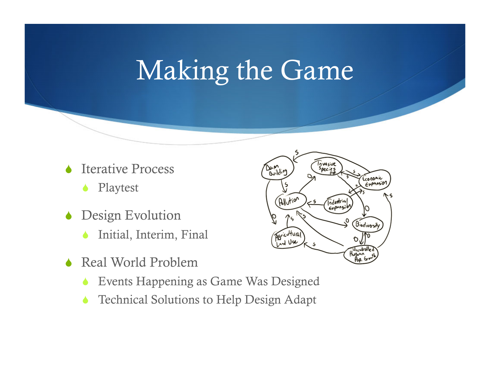## Making the Game

- Iterative Process
	- Playtest
- Design Evolution
	- Initial, Interim, Final
- Real World Problem
	- Events Happening as Game Was Designed
	- Technical Solutions to Help Design Adapt

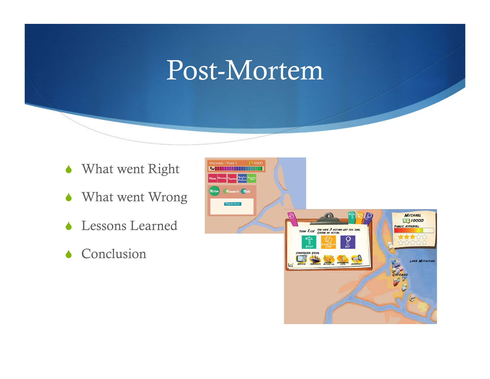### Post-Mortem

- What went Right
- What went Wrong
- Lessons Learned
- Conclusion

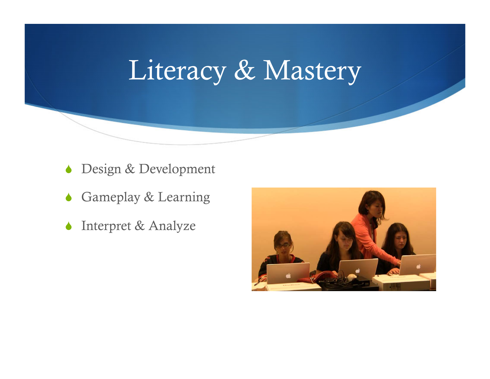## Literacy & Mastery

- Design & Development
- Gameplay & Learning
- **Interpret & Analyze**

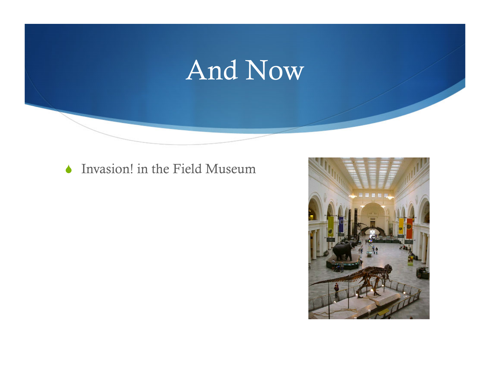## And Now

#### **Invasion!** in the Field Museum